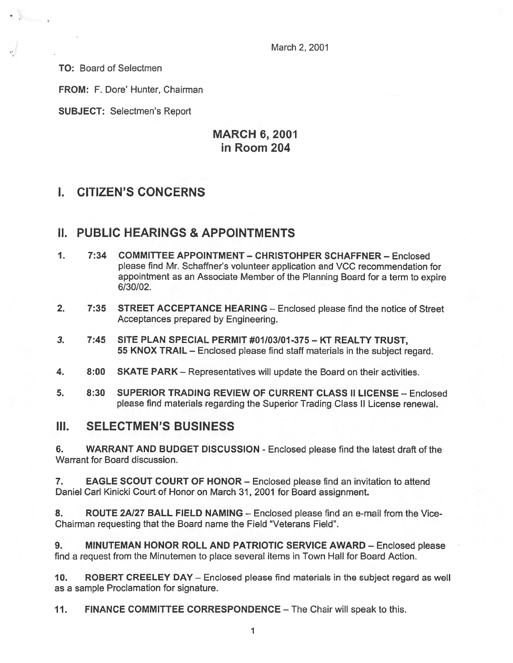March 2, 2001

TO: Board of Selectmen

 $\langle \rangle$ 

FROM: F. Dore' Hunter, Chairman

SUBJECT: Selectmen's Report

# MARCH 6, 2001 in Room 204

# I. CITIZEN'S CONCERNS

### II. PUBLIC HEARINGS & APPOINTMENTS

- 1. 7:34 COMMITTEE APPOINTMENT CHRISTOHPER SCHAFFNER Enclosed please find Mr. Schaffner's volunteer application and VCC recommendation for appointment as an Associate Member of the Planning Board for <sup>a</sup> term to expire 6/30/02.
- 2. 7:35 STREET ACCEPTANCE HEARING Enclosed please find the notice of Street Acceptances prepared by Engineering.
- 3. 7:45 SITE PLAN SPECIAL PERMIT #01103101-375 KT REALTY TRUST, 55 KNOX TRAIL — Enclosed please find staff materials in the subject regard.
- 4. 8:00 SKATE PARK Representatives will update the Board on their activities.
- 5. 8:30 SUPERIOR TRADING REVIEW OF CURRENT CLASS II LICENSE Enclosed please find materials regarding the Superior Trading Class II License renewal.

### III. SELECTMEN'S BUSINESS

6. WARRANT AND BUDGET DISCUSSION -Enclosed please find the latest draft of the Warrant for Board discussion.

7. EAGLE SCOUT COURT OF HONOR — Enclosed please find an invitation to attend Daniel Carl Kinicki Court of Honor on March 31, 2001 for Board assignment.

8. ROUTE 2A/27 BALL FIELD NAMING – Enclosed please find an e-mail from the Vice-Chairman requesting that the Board name the Field "Veterans Field".

9. MINUTEMAN HONOR ROLL AND PATRIOTIC SERVICE AWARD — Enclosed please find <sup>a</sup> reques<sup>t</sup> from the Minutemen to place several items in Town Hall for Board Action.

10. ROBERT CREELEY DAY — Enclosed please find materials in the subject regard as well as <sup>a</sup> sample Proclamation for signature.

11. FINANCE COMMITTEE CORRESPONDENCE — The Chair will speak to this.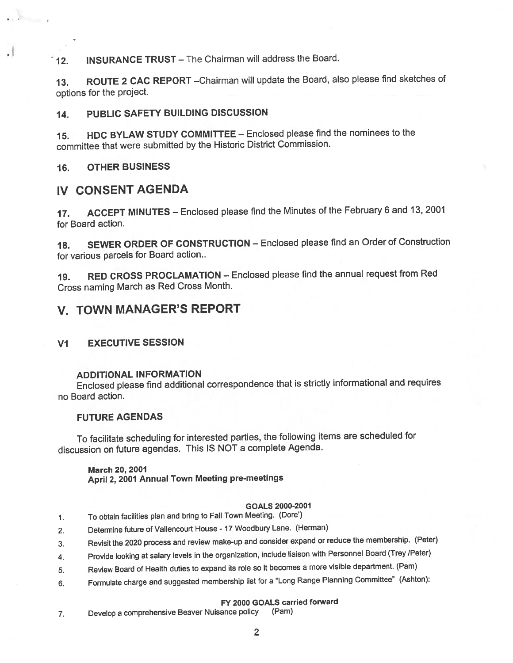12. INSURANCE TRUST – The Chairman will address the Board.

13. ROUTE 2 CAC REPORT - Chairman will update the Board, also please find sketches of options for the project.

### 14. PUBLIC SAFETY BUILDING DISCUSSION

15. HDC BYLAW STUDY COMMITTEE — Enclosed <sup>p</sup>lease find the nominees to the committee that were submitted by the Historic District Commission.

### 16. OTHER BUSINESS

## IV CONSENT AGENDA

17. ACCEPT MINUTES — Enclosed <sup>p</sup>lease find the Minutes of the February <sup>6</sup> and 13, <sup>2001</sup> for Board action.

18. SEWER ORDER OF CONSTRUCTION — Enclosed <sup>p</sup>lease find an Order of Construction for various parcels for Board action..

19. RED CROSS PROCLAMATION — Enclosed <sup>p</sup>lease find the annual reques<sup>t</sup> from Red Cross naming March as Red Cross Month.

# V. TOWN MANAGER'S REPORT

### VI EXECUTIVE SESSION

### ADDITIONAL INFORMATION

Enclosed <sup>p</sup>lease find additional correspondence that is strictly informational and requires no Board action.

### FUTURE AGENDAS

To facilitate scheduling for interested parties, the following items are scheduled for discussion on future agendas. This IS NOT <sup>a</sup> complete Agenda.

March 20, 2001 April 2, <sup>2001</sup> Annual Town Meeting pre-meetings

#### GOALS 2000-2001

- 1. To obtain facilities <sup>p</sup>lan and bring to Fall Town Meeting. (Dore')
- 2. Determine future of Vallencourt House <sup>17</sup> Woodbury Lane. (Herman)
- 3. Revisit the <sup>2020</sup> process and review make-up and consider expan<sup>d</sup> or reduce the membership. (Peter)
- 4. Provide looking at salary levels in the organization, include liaison with Personnel Board (Trey /Peter)
- 5. Review Board of Health duties to expan<sup>d</sup> its role so it becomes <sup>a</sup> more visible department. (Pam)
- 6. Formulate charge and suggested membership list for a "Long Range Planning Committee" (Ashton):

### FY 2000 GOALS carried forward

7. Develop <sup>a</sup> comprehensive Beaver Nuisance policy (Pam)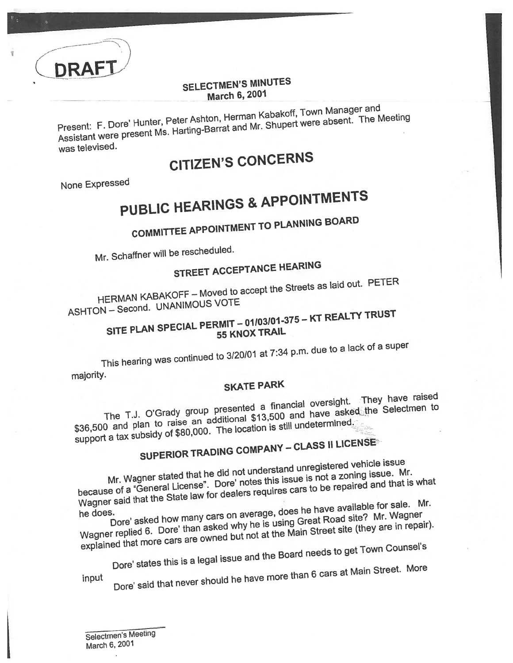

Present: F. Dore' Hunter, Peter Ashton, Herman Kabakoff, Town Manager and Assistant were present Ms. Harting-Barrat and Mr. Shupert were absent. The Meeting was televised.

# CITIZEN'S CONCERNS

None Expresse<sup>d</sup>

DRAFT

T

### PUBLIC HEARINGS & APPOINTMENTS

# COMMITTEE APPOINTMENT TO PLANNING BOARD

Mr. Schaffner will be rescheduled.

# STREET ACCEPTANCE HEARING

HERMAN KABAKOFF — Moved to accept the Streets as laid out. PETER HERMAN TO LOCANIMOUS VOTE

#### SITE PLAN SPECIAL PERMIT — <sup>01103101</sup> -375— KT REALTY TRUST <sup>55</sup> KNOX TRAIL

This hearing was continued to 3/20/01 at 7:34 p.m. due to <sup>a</sup> lack of <sup>a</sup> super

majority.

## SKATE PARK

The T.J. O'Grady group presented a financial oversight. They have raised<br>a financial oversight. They belectmen to \$36,500 and plan to raise an additional \$13,500 and have asked the Selectmen to \$36,500 and plan to raise an additional strotcollar undetermined.<br>support a tax subsidy of \$80,000. The location is still undetermined.

# SUPERIOR TRADING COMPANY - CLASS II LICENSE

Mr. Wagner stated that he did not understan<sup>d</sup> unregistere<sup>d</sup> vehicle issue Mr. Wagner stated that he did not understand difference.<br>because of a "General License". Dore' notes this issue is not a zoning issue. Mr.<br>Chate law for dealers requires cars to be repaired and that is Wagner said that the State law for dealers requires cars to be repaired and that is what

he does.<br>Dore' asked how many cars on average, does he have available? Mr. Wagner<br>Wagner replied 6. Dore' than asked why he is using Great Road site? Mr. Wagner Dore' asked how many cars on average, does he have available for sale. Mr. explained that more cars are owned but not at the Main Street site (they are in repair).

<sub>gd that more care.</sub><br>Dore' states this is a legal issue and the Board needs to get Town Counsel's

input

Dote' said that never should he have more than <sup>6</sup> cars at Main Street. More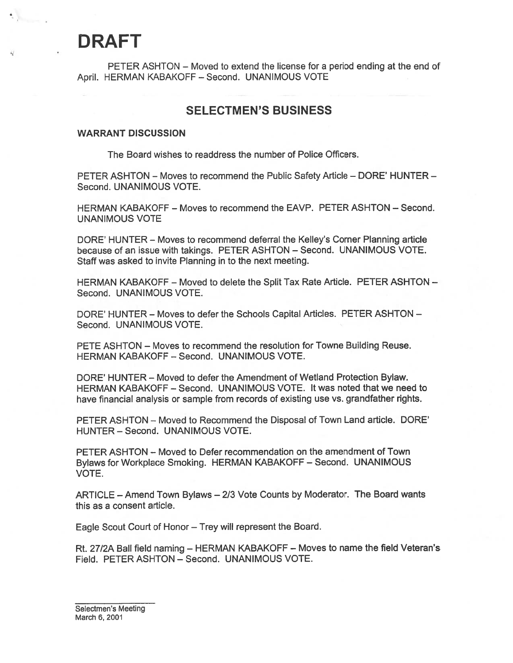# DRAFT

 $\mathcal{O}_{\mathcal{P}^{\text{univ}}(\mathcal{A})}$ 

PETER ASHTON — Moved to extend the license for <sup>a</sup> period ending at the end of April. HERMAN KABAKOFF — Second. UNANIMOUS VOTE

### SELECTMEN'S BUSINESS

#### WARRANT DISCUSSION

The Board wishes to readdress the number of Police Officers.

PETER ASHTON — Moves to recommend the Public Safety Article — DORE' HUNTER — Second. UNANIMOUS VOTE.

HERMAN KABAKOFF — Moves to recommend the EAVP. PETER ASHTON — Second. UNANIMOUS VOTE

DORE' HUNTER — Moves to recommend deferral the Kelley's Cornet Planning article because of an issue with takings. PETER ASHTON — Second. UNANIMOUS VOTE. Staff was asked to invite Planning in to the next meeting.

HERMAN KABAKOFF — Moved to delete the Split Tax Rate Article. PETER ASHTON — Second. UNANIMOUS VOTE.

DORE' HUNTER — Moves to defer the Schools Capital Articles. PETER ASHTON — Second. UNANIMOUS VOTE.

PETE ASHTON — Moves to recommend the resolution for Towne Building Reuse. HERMAN KABAKOFF - Second. UNANIMOUS VOTE.

DORE' HUNTER — Moved to defer the Amendment of Wetland Protection Bylaw. HERMAN KABAKOFF — Second. UNANIMOUS VOTE. It was noted that we need to have financial analysis or sample from records of existing use vs. grandfather rights.

PETER ASHTON — Moved to Recommend the Disposal of Town Land article. DORE' HUNTER — Second. UNANIMOUS VOTE.

PETER ASHTON — Moved to Defer recommendation on the amendment of Town Bylaws for Workplace Smoking. HERMAN KABAKOFF — Second. UNANIMOUS VOTE.

ARTICLE — Amend Town Bylaws — 2/3 Vote Counts by Moderator. The Board wants this as <sup>a</sup> consent article.

Eagle Scout Court of Honor — Trey will represen<sup>t</sup> the Board.

Rt. 27/2A Ball field naming — HERMAN KABAKOFF — Moves to name the field Veteran's Field. PETER ASHTON — Second. UNANIMOUS VOTE.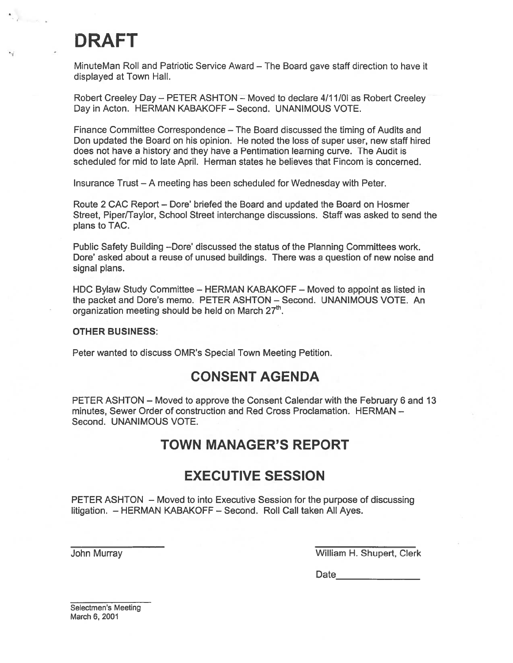# DRAFT

 $\langle \cdot \rangle$ 

MinuteMan Roll and Patriotic Service Award — The Board gave staff direction to have it displayed at Town Hall.

Robert Creeley Day - PETER ASHTON - Moved to declare 4/11/0I as Robert Creeley Day in Acton. HERMAN KABAKOFF — Second. UNANIMOUS VOTE.

Finance Committee Correspondence — The Board discussed the timing of Audits and Don updated the Board on his opinion. He noted the loss of super user, new staff hired does not have <sup>a</sup> history and they have <sup>a</sup> Pentimation learning curve. The Audit is scheduled for mid to late April. Herman states he believes that Fincom is concerned.

Insurance Trust — A meeting has been scheduled for Wednesday with Peter.

Route 2 CAC Report — Dote' briefed the Board and updated the Board on Hosmer Street, Piper/Taylor, School Street interchange discussions. Staff was asked to send the plans to TAC.

Public Safety Building —Dore' discussed the status of the Planning Committees work. Dore' asked about <sup>a</sup> reuse of unused buildings. There was <sup>a</sup> question of new noise and signal plans.

HDC Bylaw Study Committee — HERMAN KABAKOFF — Moved to appoint as listed in the packet and Dote's memo. PETER ASHTON — Second. UNANIMOUS VOTE. An organization meeting should be held on March  $27<sup>th</sup>$ .

### OTHER BUSINESS:

Peter wanted to discuss OMR's Special Town Meeting Petition.

# CONSENT AGENDA

PETER ASHTON — Moved to approve the Consent Calendar with the February 6 and 13 minutes, Sewer Order of construction and Red Cross Proclamation. HERMAN — Second. UNANIMOUS VOTE.

# TOWN MANAGER'S REPORT

# EXECUTIVE SESSION

PETER ASHTON — Moved to into Executive Session for the purpose of discussing litigation. — HERMAN KABAKOFF — Second. Roll Call taken All Ayes.

John Murray William H. Shupert, Clerk

Date\_\_\_\_\_\_\_\_\_\_\_\_\_\_\_\_\_

Selectmen's Meeting March 6, 2001